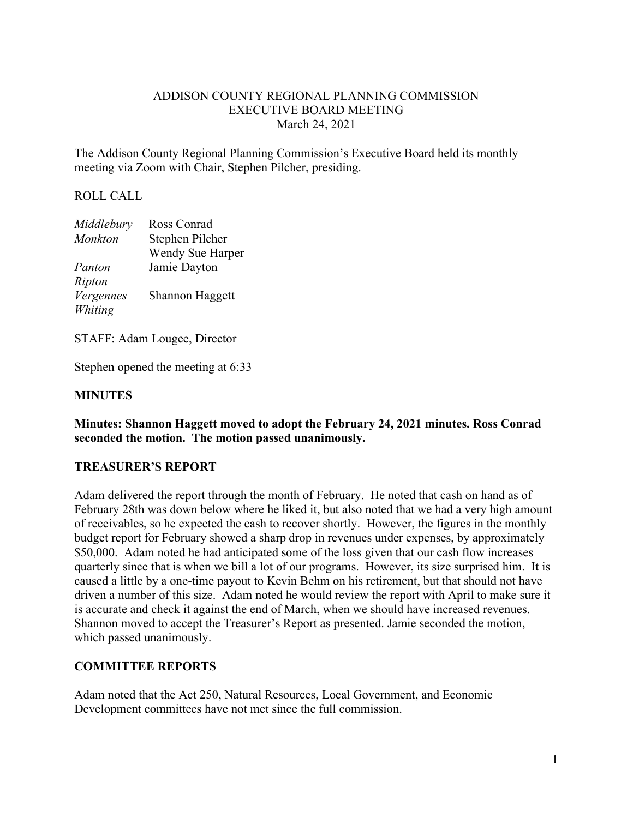## ADDISON COUNTY REGIONAL PLANNING COMMISSION EXECUTIVE BOARD MEETING March 24, 2021

The Addison County Regional Planning Commission's Executive Board held its monthly meeting via Zoom with Chair, Stephen Pilcher, presiding.

## ROLL CALL

| Middlebury     | Ross Conrad      |
|----------------|------------------|
| <b>Monkton</b> | Stephen Pilcher  |
|                | Wendy Sue Harper |
| Panton         | Jamie Dayton     |
| Ripton         |                  |
| Vergennes      | Shannon Haggett  |
| Whiting        |                  |

STAFF: Adam Lougee, Director

Stephen opened the meeting at 6:33

#### **MINUTES**

**Minutes: Shannon Haggett moved to adopt the February 24, 2021 minutes. Ross Conrad seconded the motion. The motion passed unanimously.**

#### **TREASURER'S REPORT**

Adam delivered the report through the month of February. He noted that cash on hand as of February 28th was down below where he liked it, but also noted that we had a very high amount of receivables, so he expected the cash to recover shortly. However, the figures in the monthly budget report for February showed a sharp drop in revenues under expenses, by approximately \$50,000. Adam noted he had anticipated some of the loss given that our cash flow increases quarterly since that is when we bill a lot of our programs. However, its size surprised him. It is caused a little by a one-time payout to Kevin Behm on his retirement, but that should not have driven a number of this size. Adam noted he would review the report with April to make sure it is accurate and check it against the end of March, when we should have increased revenues. Shannon moved to accept the Treasurer's Report as presented. Jamie seconded the motion, which passed unanimously.

#### **COMMITTEE REPORTS**

Adam noted that the Act 250, Natural Resources, Local Government, and Economic Development committees have not met since the full commission.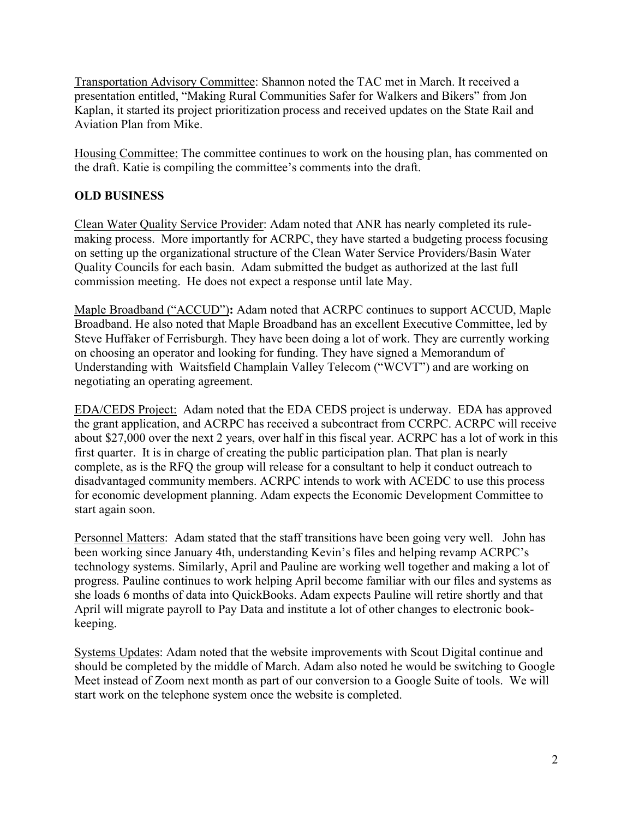Transportation Advisory Committee: Shannon noted the TAC met in March. It received a presentation entitled, "Making Rural Communities Safer for Walkers and Bikers" from Jon Kaplan, it started its project prioritization process and received updates on the State Rail and Aviation Plan from Mike.

Housing Committee: The committee continues to work on the housing plan, has commented on the draft. Katie is compiling the committee's comments into the draft.

# **OLD BUSINESS**

Clean Water Quality Service Provider: Adam noted that ANR has nearly completed its rulemaking process. More importantly for ACRPC, they have started a budgeting process focusing on setting up the organizational structure of the Clean Water Service Providers/Basin Water Quality Councils for each basin. Adam submitted the budget as authorized at the last full commission meeting. He does not expect a response until late May.

Maple Broadband ("ACCUD")**:** Adam noted that ACRPC continues to support ACCUD, Maple Broadband. He also noted that Maple Broadband has an excellent Executive Committee, led by Steve Huffaker of Ferrisburgh. They have been doing a lot of work. They are currently working on choosing an operator and looking for funding. They have signed a Memorandum of Understanding with Waitsfield Champlain Valley Telecom ("WCVT") and are working on negotiating an operating agreement.

EDA/CEDS Project: Adam noted that the EDA CEDS project is underway. EDA has approved the grant application, and ACRPC has received a subcontract from CCRPC. ACRPC will receive about \$27,000 over the next 2 years, over half in this fiscal year. ACRPC has a lot of work in this first quarter. It is in charge of creating the public participation plan. That plan is nearly complete, as is the RFQ the group will release for a consultant to help it conduct outreach to disadvantaged community members. ACRPC intends to work with ACEDC to use this process for economic development planning. Adam expects the Economic Development Committee to start again soon.

Personnel Matters: Adam stated that the staff transitions have been going very well. John has been working since January 4th, understanding Kevin's files and helping revamp ACRPC's technology systems. Similarly, April and Pauline are working well together and making a lot of progress. Pauline continues to work helping April become familiar with our files and systems as she loads 6 months of data into QuickBooks. Adam expects Pauline will retire shortly and that April will migrate payroll to Pay Data and institute a lot of other changes to electronic bookkeeping.

Systems Updates: Adam noted that the website improvements with Scout Digital continue and should be completed by the middle of March. Adam also noted he would be switching to Google Meet instead of Zoom next month as part of our conversion to a Google Suite of tools. We will start work on the telephone system once the website is completed.